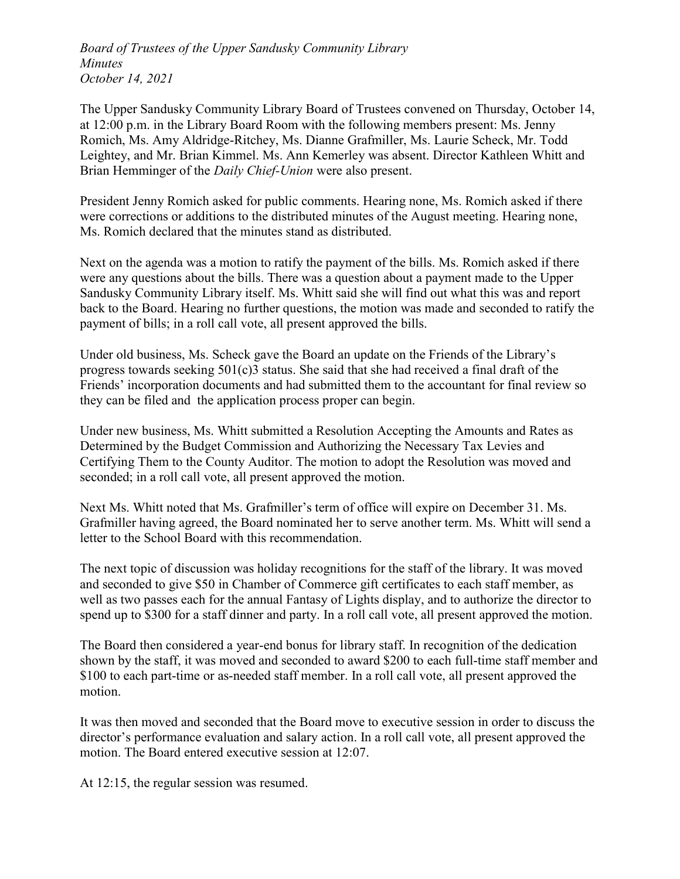Board of Trustees of the Upper Sandusky Community Library Minutes October 14, 2021

The Upper Sandusky Community Library Board of Trustees convened on Thursday, October 14, at 12:00 p.m. in the Library Board Room with the following members present: Ms. Jenny Romich, Ms. Amy Aldridge-Ritchey, Ms. Dianne Grafmiller, Ms. Laurie Scheck, Mr. Todd Leightey, and Mr. Brian Kimmel. Ms. Ann Kemerley was absent. Director Kathleen Whitt and Brian Hemminger of the *Daily Chief-Union* were also present.

President Jenny Romich asked for public comments. Hearing none, Ms. Romich asked if there were corrections or additions to the distributed minutes of the August meeting. Hearing none, Ms. Romich declared that the minutes stand as distributed.

Next on the agenda was a motion to ratify the payment of the bills. Ms. Romich asked if there were any questions about the bills. There was a question about a payment made to the Upper Sandusky Community Library itself. Ms. Whitt said she will find out what this was and report back to the Board. Hearing no further questions, the motion was made and seconded to ratify the payment of bills; in a roll call vote, all present approved the bills.

Under old business, Ms. Scheck gave the Board an update on the Friends of the Library's progress towards seeking 501(c)3 status. She said that she had received a final draft of the Friends' incorporation documents and had submitted them to the accountant for final review so they can be filed and the application process proper can begin.

Under new business, Ms. Whitt submitted a Resolution Accepting the Amounts and Rates as Determined by the Budget Commission and Authorizing the Necessary Tax Levies and Certifying Them to the County Auditor. The motion to adopt the Resolution was moved and seconded; in a roll call vote, all present approved the motion.

Next Ms. Whitt noted that Ms. Grafmiller's term of office will expire on December 31. Ms. Grafmiller having agreed, the Board nominated her to serve another term. Ms. Whitt will send a letter to the School Board with this recommendation.

The next topic of discussion was holiday recognitions for the staff of the library. It was moved and seconded to give \$50 in Chamber of Commerce gift certificates to each staff member, as well as two passes each for the annual Fantasy of Lights display, and to authorize the director to spend up to \$300 for a staff dinner and party. In a roll call vote, all present approved the motion.

The Board then considered a year-end bonus for library staff. In recognition of the dedication shown by the staff, it was moved and seconded to award \$200 to each full-time staff member and \$100 to each part-time or as-needed staff member. In a roll call vote, all present approved the motion.

It was then moved and seconded that the Board move to executive session in order to discuss the director's performance evaluation and salary action. In a roll call vote, all present approved the motion. The Board entered executive session at 12:07.

At 12:15, the regular session was resumed.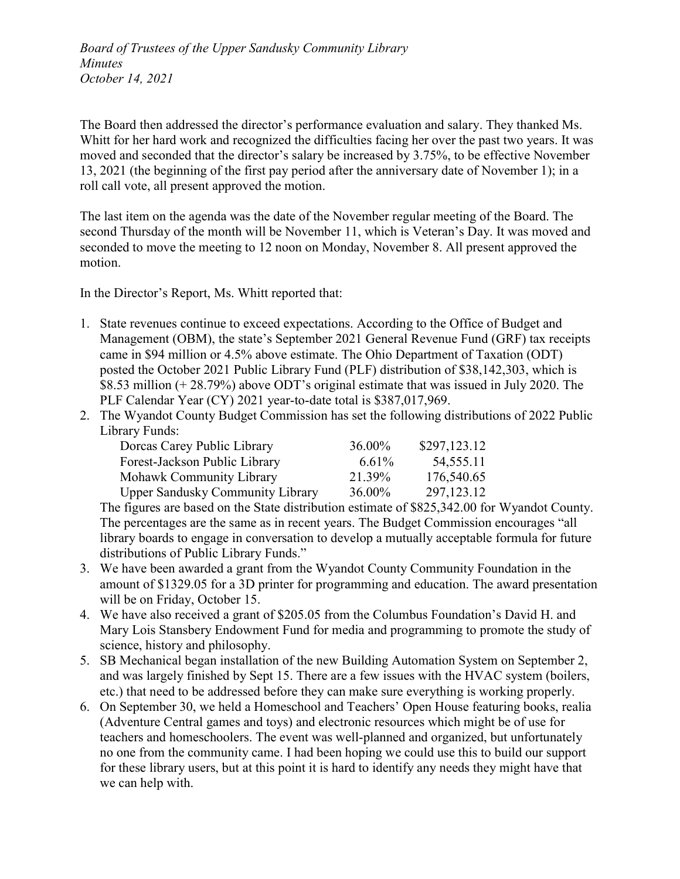Board of Trustees of the Upper Sandusky Community Library Minutes October 14, 2021

The Board then addressed the director's performance evaluation and salary. They thanked Ms. Whitt for her hard work and recognized the difficulties facing her over the past two years. It was moved and seconded that the director's salary be increased by 3.75%, to be effective November 13, 2021 (the beginning of the first pay period after the anniversary date of November 1); in a roll call vote, all present approved the motion.

The last item on the agenda was the date of the November regular meeting of the Board. The second Thursday of the month will be November 11, which is Veteran's Day. It was moved and seconded to move the meeting to 12 noon on Monday, November 8. All present approved the motion.

In the Director's Report, Ms. Whitt reported that:

- 1. State revenues continue to exceed expectations. According to the Office of Budget and Management (OBM), the state's September 2021 General Revenue Fund (GRF) tax receipts came in \$94 million or 4.5% above estimate. The Ohio Department of Taxation (ODT) posted the October 2021 Public Library Fund (PLF) distribution of \$38,142,303, which is \$8.53 million (+ 28.79%) above ODT's original estimate that was issued in July 2020. The PLF Calendar Year (CY) 2021 year-to-date total is \$387,017,969.
- 2. The Wyandot County Budget Commission has set the following distributions of 2022 Public Library Funds:

| Dorcas Carey Public Library             | 36.00% | \$297,123.12 |
|-----------------------------------------|--------|--------------|
| Forest-Jackson Public Library           | 6.61%  | 54,555.11    |
| Mohawk Community Library                | 21.39% | 176,540.65   |
| <b>Upper Sandusky Community Library</b> | 36.00% | 297, 123. 12 |

The figures are based on the State distribution estimate of \$825,342.00 for Wyandot County. The percentages are the same as in recent years. The Budget Commission encourages "all library boards to engage in conversation to develop a mutually acceptable formula for future distributions of Public Library Funds."

- 3. We have been awarded a grant from the Wyandot County Community Foundation in the amount of \$1329.05 for a 3D printer for programming and education. The award presentation will be on Friday, October 15.
- 4. We have also received a grant of \$205.05 from the Columbus Foundation's David H. and Mary Lois Stansbery Endowment Fund for media and programming to promote the study of science, history and philosophy.
- 5. SB Mechanical began installation of the new Building Automation System on September 2, and was largely finished by Sept 15. There are a few issues with the HVAC system (boilers, etc.) that need to be addressed before they can make sure everything is working properly.
- 6. On September 30, we held a Homeschool and Teachers' Open House featuring books, realia (Adventure Central games and toys) and electronic resources which might be of use for teachers and homeschoolers. The event was well-planned and organized, but unfortunately no one from the community came. I had been hoping we could use this to build our support for these library users, but at this point it is hard to identify any needs they might have that we can help with.